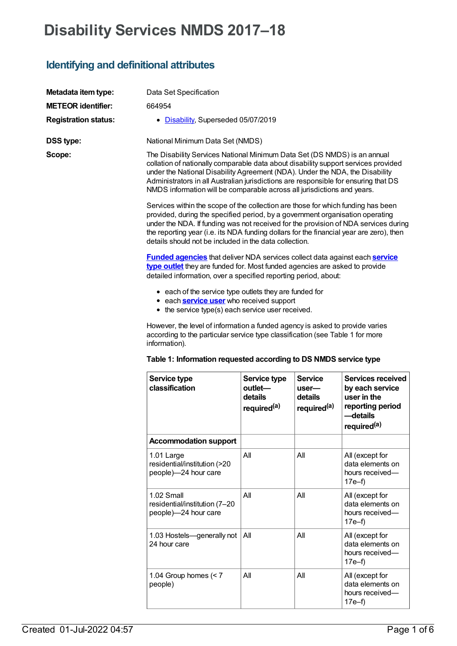# **Disability Services NMDS 2017–18**

# **Identifying and definitional attributes**

| Metadata item type:         | Data Set Specification                                                                                                                                                                                                                                                                                                                                                                                                                                                                                                                                                                                                                                                       |
|-----------------------------|------------------------------------------------------------------------------------------------------------------------------------------------------------------------------------------------------------------------------------------------------------------------------------------------------------------------------------------------------------------------------------------------------------------------------------------------------------------------------------------------------------------------------------------------------------------------------------------------------------------------------------------------------------------------------|
| <b>METEOR identifier:</b>   | 664954                                                                                                                                                                                                                                                                                                                                                                                                                                                                                                                                                                                                                                                                       |
| <b>Registration status:</b> | • Disability, Superseded 05/07/2019                                                                                                                                                                                                                                                                                                                                                                                                                                                                                                                                                                                                                                          |
| <b>DSS type:</b>            | National Minimum Data Set (NMDS)                                                                                                                                                                                                                                                                                                                                                                                                                                                                                                                                                                                                                                             |
| Scope:                      | The Disability Services National Minimum Data Set (DS NMDS) is an annual<br>collation of nationally comparable data about disability support services provided<br>under the National Disability Agreement (NDA). Under the NDA, the Disability<br>Administrators in all Australian jurisdictions are responsible for ensuring that DS<br>NMDS information will be comparable across all jurisdictions and years.<br>Services within the scope of the collection are those for which funding has been<br>provided, during the specified period, by a government organisation operating<br>under the NDA. If funding was not received for the provision of NDA services during |
|                             | the reporting year (i.e. its NDA funding dollars for the financial year are zero), then<br>details should not be included in the data collection.                                                                                                                                                                                                                                                                                                                                                                                                                                                                                                                            |
|                             | <b>Funded agencies</b> that deliver NDA services collect data against each <b>service</b><br>type outlet they are funded for. Most funded agencies are asked to provide<br>detailed information, over a specified reporting period, about:                                                                                                                                                                                                                                                                                                                                                                                                                                   |
|                             | • each of the service type outlets they are funded for<br>• each <b>service user</b> who received support<br>• the service type(s) each service user received.                                                                                                                                                                                                                                                                                                                                                                                                                                                                                                               |
|                             | However, the level of information a funded agency is asked to provide varies<br>according to the particular service type classification (see Table 1 for more<br>information).                                                                                                                                                                                                                                                                                                                                                                                                                                                                                               |

| Service type<br>classification                                        | Service type<br>outlet-<br>details<br>required <sup>(a)</sup> | <b>Service</b><br>user-<br>details<br>required <sup>(a)</sup> | Services received<br>by each service<br>user in the<br>reporting period<br>—details<br>required <sup>(a)</sup> |
|-----------------------------------------------------------------------|---------------------------------------------------------------|---------------------------------------------------------------|----------------------------------------------------------------------------------------------------------------|
| <b>Accommodation support</b>                                          |                                                               |                                                               |                                                                                                                |
| 1.01 Large<br>residential/institution (>20<br>people)-24 hour care    | All                                                           | All                                                           | All (except for<br>data elements on<br>hours received-<br>17e–f)                                               |
| $1.02$ Small<br>residential/institution (7-20<br>people)-24 hour care | All                                                           | All                                                           | All (except for<br>data elements on<br>hours received-<br>$17e-f$                                              |
| 1.03 Hostels-generally not<br>24 hour care                            | All                                                           | All                                                           | All (except for<br>data elements on<br>hours received-<br>17e–f)                                               |
| 1.04 Group homes $(< 7$<br>people)                                    | All                                                           | All                                                           | All (except for<br>data elements on<br>hours received-<br>17e–f)                                               |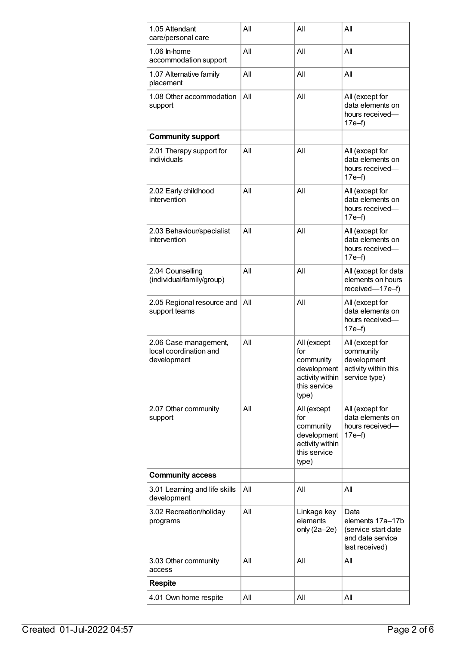| 1.05 Attendant<br>care/personal care                           | All | All                                                                                        | All                                                                                   |
|----------------------------------------------------------------|-----|--------------------------------------------------------------------------------------------|---------------------------------------------------------------------------------------|
| 1.06 In-home<br>accommodation support                          | All | All                                                                                        | All                                                                                   |
| 1.07 Alternative family<br>placement                           | All | All                                                                                        | All                                                                                   |
| 1.08 Other accommodation<br>support                            | All | All                                                                                        | All (except for<br>data elements on<br>hours received-<br>$17e-f$                     |
| <b>Community support</b>                                       |     |                                                                                            |                                                                                       |
| 2.01 Therapy support for<br>individuals                        | All | All                                                                                        | All (except for<br>data elements on<br>hours received-<br>$17e-f$                     |
| 2.02 Early childhood<br>intervention                           | All | Αll                                                                                        | All (except for<br>data elements on<br>hours received-<br>$17e-f$                     |
| 2.03 Behaviour/specialist<br>intervention                      | All | All                                                                                        | All (except for<br>data elements on<br>hours received-<br>$17e-f$                     |
| 2.04 Counselling<br>(individual/family/group)                  | All | All                                                                                        | All (except for data<br>elements on hours<br>received-17e-f)                          |
| 2.05 Regional resource and<br>support teams                    | All | All                                                                                        | All (except for<br>data elements on<br>hours received-<br>$17e-f$                     |
| 2.06 Case management,<br>local coordination and<br>development | All | All (except<br>for<br>community<br>development<br>activity within<br>this service<br>type) | All (except for<br>community<br>development<br>activity within this<br>service type)  |
| 2.07 Other community<br>support                                | All | All (except<br>for<br>community<br>development<br>activity within<br>this service<br>type) | All (except for<br>data elements on<br>hours received-<br>$17e-f$                     |
| <b>Community access</b>                                        |     |                                                                                            |                                                                                       |
| 3.01 Learning and life skills<br>development                   | All | All                                                                                        | Αll                                                                                   |
| 3.02 Recreation/holiday<br>programs                            | All | Linkage key<br>elements<br>only $(2a-2e)$                                                  | Data<br>elements 17a-17b<br>(service start date<br>and date service<br>last received) |
| 3.03 Other community<br>access                                 | All | All                                                                                        | All                                                                                   |
| <b>Respite</b>                                                 |     |                                                                                            |                                                                                       |
| 4.01 Own home respite                                          | All | All                                                                                        | All                                                                                   |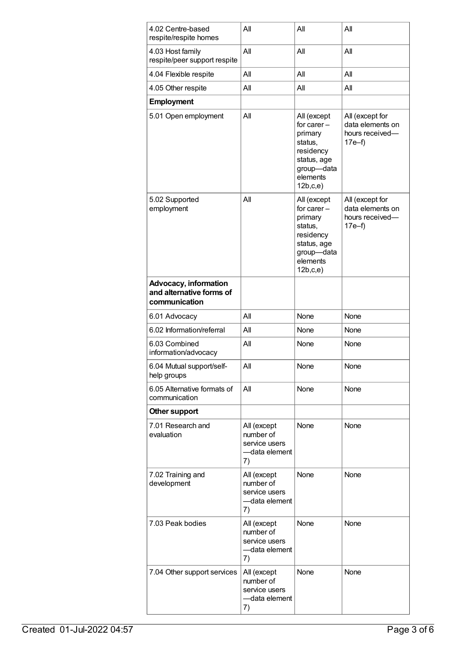| 4.02 Centre-based<br>respite/respite homes                                | All                                                              | All                                                                                                                  | All                                                               |
|---------------------------------------------------------------------------|------------------------------------------------------------------|----------------------------------------------------------------------------------------------------------------------|-------------------------------------------------------------------|
| 4.03 Host family<br>respite/peer support respite                          | All                                                              | All                                                                                                                  | All                                                               |
| 4.04 Flexible respite                                                     | All                                                              | All                                                                                                                  | All                                                               |
| 4.05 Other respite                                                        | All                                                              | All                                                                                                                  | All                                                               |
| <b>Employment</b>                                                         |                                                                  |                                                                                                                      |                                                                   |
| 5.01 Open employment                                                      | All                                                              | All (except<br>for carer $-$<br>primary<br>status,<br>residency<br>status, age<br>group-data<br>elements<br>12b,c,e) | All (except for<br>data elements on<br>hours received-<br>$17e-f$ |
| 5.02 Supported<br>employment                                              | All                                                              | All (except<br>for carer $-$<br>primary<br>status,<br>residency<br>status, age<br>group-data<br>elements<br>12b,c,e) | All (except for<br>data elements on<br>hours received-<br>$17e-f$ |
| <b>Advocacy, information</b><br>and alternative forms of<br>communication |                                                                  |                                                                                                                      |                                                                   |
| 6.01 Advocacy                                                             | All                                                              | None                                                                                                                 | None                                                              |
| 6.02 Information/referral                                                 | All                                                              | None                                                                                                                 | None                                                              |
| 6.03 Combined<br>information/advocacy                                     | All                                                              | None                                                                                                                 | None                                                              |
| 6.04 Mutual support/self-<br>help groups                                  | All                                                              | None                                                                                                                 | None                                                              |
| 6.05 Alternative formats of<br>communication                              | All                                                              | None                                                                                                                 | None                                                              |
| Other support                                                             |                                                                  |                                                                                                                      |                                                                   |
| 7.01 Research and<br>evaluation                                           | All (except<br>number of<br>service users<br>-data element<br>7) | None                                                                                                                 | None                                                              |
| 7.02 Training and<br>development                                          | All (except<br>number of<br>service users<br>-data element<br>7) | None                                                                                                                 | None                                                              |
| 7.03 Peak bodies                                                          | All (except<br>number of<br>service users<br>-data element<br>7) | None                                                                                                                 | None                                                              |
| 7.04 Other support services                                               | All (except<br>number of<br>service users<br>-data element<br>7) | None                                                                                                                 | None                                                              |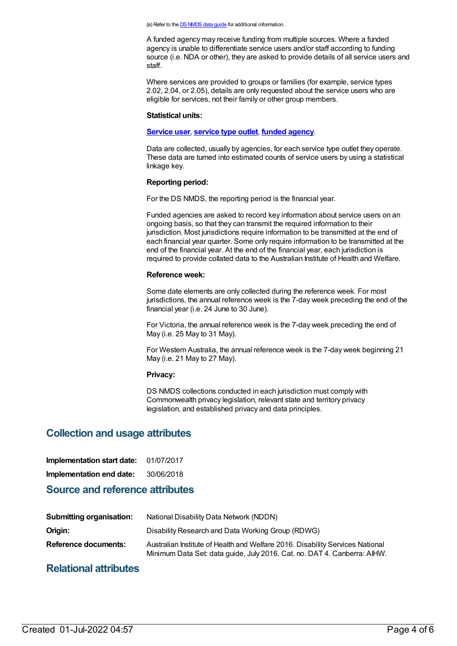(a) Refer to the DS [NMDS](http://www.aihw.gov.au/WorkArea/DownloadAsset.aspx?id=60129555638) data guide for additional information.

A funded agency may receive funding from multiple sources. Where a funded agency is unable to differentiate service users and/or staff according to funding source (i.e. NDA or other), they are asked to provide details of all service users and staff.

Where services are provided to groups or families (for example, service types 2.02, 2.04, or 2.05), details are only requested about the service users who are eligible for services, not their family or other group members.

#### **Statistical units:**

#### **[Service](https://meteor.aihw.gov.au/content/502689) user**, **[service](https://meteor.aihw.gov.au/content/501973) type outlet**, **funded [agency](https://meteor.aihw.gov.au/content/386548)**.

Data are collected, usually by agencies, for each service type outlet they operate. These data are turned into estimated counts of service users by using a statistical linkage key.

#### **Reporting period:**

For the DS NMDS, the reporting period is the financial year.

Funded agencies are asked to record key information about service users on an ongoing basis, so that they can transmit the required information to their jurisdiction. Most jurisdictions require information to be transmitted at the end of each financial year quarter. Some only require information to be transmitted at the end of the financial year. At the end of the financial year, each jurisdiction is required to provide collated data to the Australian Institute of Health and Welfare.

#### **Reference week:**

Some date elements are only collected during the reference week. For most jurisdictions, the annual reference week is the 7-day week preceding the end of the financial year (i.e. 24 June to 30 June).

For Victoria, the annual reference week is the 7-day week preceding the end of May (i.e. 25 May to 31 May).

For Western Australia, the annual reference week is the 7-day week beginning 21 May (i.e. 21 May to 27 May).

#### **Privacy:**

DS NMDS collections conducted in each jurisdiction must comply with Commonwealth privacy legislation, relevant state and territory privacy legislation, and established privacy and data principles.

### **Collection and usage attributes**

| Implementation start date: | 01/07/2017 |
|----------------------------|------------|
| Implementation end date:   | 30/06/2018 |

### **Source and reference attributes**

| <b>Submitting organisation:</b> | National Disability Data Network (NDDN)                                                                                                                   |
|---------------------------------|-----------------------------------------------------------------------------------------------------------------------------------------------------------|
| Origin:                         | Disability Research and Data Working Group (RDWG)                                                                                                         |
| <b>Reference documents:</b>     | Australian Institute of Health and Welfare 2016. Disability Services National<br>Minimum Data Set: data guide, July 2016. Cat. no. DAT 4. Canberra: AIHW. |

## **Relational attributes**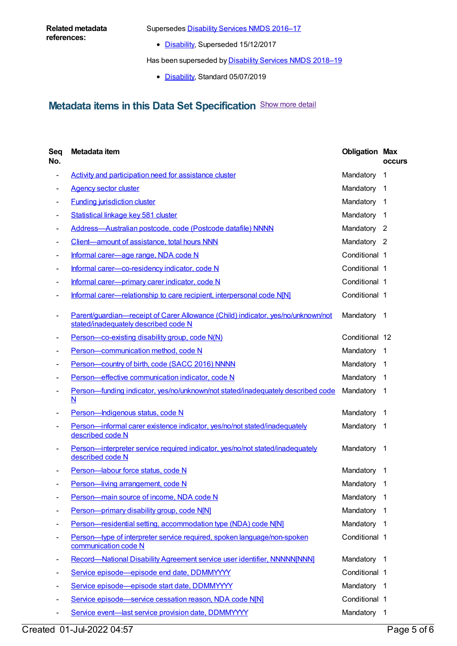Supersedes **[Disability](https://meteor.aihw.gov.au/content/637867) Services NMDS 2016-17** 

• [Disability](https://meteor.aihw.gov.au/RegistrationAuthority/16), Superseded 15/12/2017

Has been superseded by **[Disability](https://meteor.aihw.gov.au/content/698074) Services NMDS 2018-19** 

• [Disability](https://meteor.aihw.gov.au/RegistrationAuthority/16), Standard 05/07/2019

# **Metadata items in this Data Set Specification** Show more detail

| Seq<br>No.               | Metadata item                                                                                                            | <b>Obligation Max</b> | <b>occurs</b>  |
|--------------------------|--------------------------------------------------------------------------------------------------------------------------|-----------------------|----------------|
| $\overline{\phantom{a}}$ | Activity and participation need for assistance cluster                                                                   | Mandatory             | 1              |
|                          | <b>Agency sector cluster</b>                                                                                             | Mandatory             | -1             |
|                          | <b>Funding jurisdiction cluster</b>                                                                                      | Mandatory             | -1             |
|                          | Statistical linkage key 581 cluster                                                                                      | Mandatory             | $\overline{1}$ |
|                          | Address-Australian postcode, code (Postcode datafile) NNNN                                                               | Mandatory 2           |                |
|                          | Client-amount of assistance, total hours NNN                                                                             | Mandatory 2           |                |
|                          | Informal carer-age range, NDA code N                                                                                     | Conditional 1         |                |
|                          | Informal carer-co-residency indicator, code N                                                                            | Conditional 1         |                |
|                          | Informal carer-primary carer indicator, code N                                                                           | Conditional 1         |                |
|                          | Informal carer—relationship to care recipient, interpersonal code N[N]                                                   | Conditional 1         |                |
|                          | Parent/guardian-receipt of Carer Allowance (Child) indicator, yes/no/unknown/not<br>stated/inadequately described code N | Mandatory 1           |                |
|                          | Person-co-existing disability group, code N(N)                                                                           | Conditional 12        |                |
|                          | Person-communication method, code N                                                                                      | Mandatory             | 1              |
|                          | Person-country of birth, code (SACC 2016) NNNN                                                                           | Mandatory             | -1             |
|                          | Person-effective communication indicator, code N                                                                         | Mandatory             | -1             |
|                          | Person-funding indicator, yes/no/unknown/not stated/inadequately described code<br>N                                     | Mandatory             | -1             |
|                          | Person-Indigenous status, code N                                                                                         | Mandatory             | -1             |
|                          | Person-informal carer existence indicator, yes/no/not stated/inadequately<br>described code N                            | Mandatory 1           |                |
|                          | Person—interpreter service required indicator, yes/no/not stated/inadequately<br>described code N                        | Mandatory             | $\overline{1}$ |
|                          | Person-labour force status, code N                                                                                       | Mandatory             | $\overline{1}$ |
|                          | Person-living arrangement, code N                                                                                        | Mandatory             | 1              |
|                          | Person-main source of income, NDA code N                                                                                 | Mandatory             | $\mathbf{1}$   |
|                          | Person-primary disability group, code N[N]                                                                               | Mandatory             | $\mathbf 1$    |
|                          | Person-residential setting, accommodation type (NDA) code N[N]                                                           | Mandatory             | -1             |
|                          | Person—type of interpreter service required, spoken language/non-spoken<br>communication code N                          | Conditional 1         |                |
|                          | Record-National Disability Agreement service user identifier, NNNNN[NNN]                                                 | Mandatory 1           |                |
|                          | Service episode-episode end date, DDMMYYYY                                                                               | Conditional 1         |                |
|                          | Service episode-episode start date, DDMMYYYY                                                                             | Mandatory 1           |                |
|                          | Service episode-service cessation reason, NDA code NINI                                                                  | Conditional 1         |                |
| ٠                        | Service event-last service provision date, DDMMYYYY                                                                      | Mandatory             | $\mathbf 1$    |